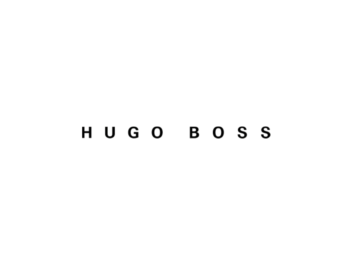# HUGO BOSS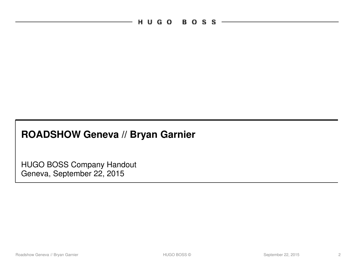$H \cup G$   $O \cup B$   $O$   $S$   $S \cup$ 

# **ROADSHOW Geneva // Bryan Garnier**

HUGO BOSS Company Handout Geneva, September 22, 2015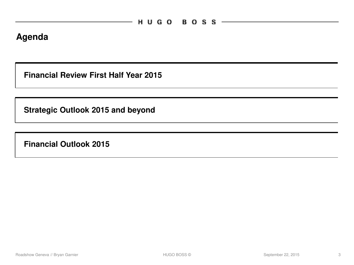### **Agenda**

**Financial Review First Half Year 2015**

**Strategic Outlook 2015 and beyond**

**Financial Outlook 2015**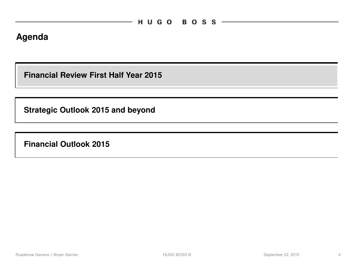### **Agenda**

**Financial Review First Half Year 2015**

**Strategic Outlook 2015 and beyond**

**Financial Outlook 2015**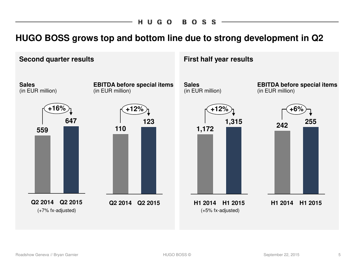**BOSS** HUGO

### **HUGO BOSS grows top and bottom line due to strong development in Q2**

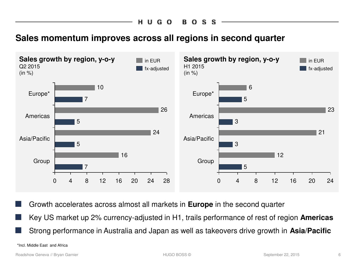HU. G O В., o s S

### **Sales momentum improves across all regions in second quarter**



Growth accelerates across almost all markets in **Europe** in the second quarter

■ Key US market up 2% currency-adjusted in H1, trails performance of rest of region **Americas**

Strong performance in Australia and Japan as well as takeovers drive growth in Asia/Pacific

\*Incl. Middle East and Africa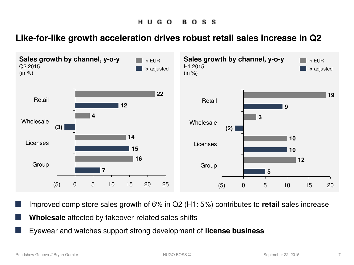BOSS HUGO

**Like-for-like growth acceleration drives robust retail sales increase in Q2**



Improved comp store sales growth of 6% in Q2 (H1: 5%) contributes to **retail** sales increase

**Wholesale** affected by takeover-related sales shifts

Eyewear and watches support strong development of **license business**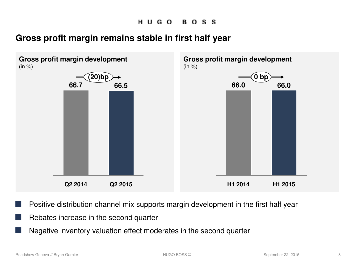### **Gross profit margin remains stable in first half year**



- Positive distribution channel mix supports margin development in the first half year
- Rebates increase in the second quarter
- Negative inventory valuation effect moderates in the second quarter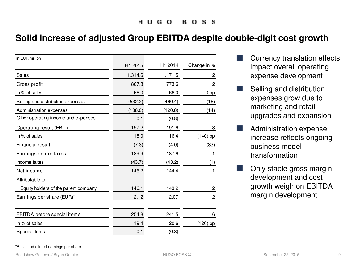### **Solid increase of adjusted Group EBITDA despite double-digit cost growth**

| in EUR million                       |         |         |                |
|--------------------------------------|---------|---------|----------------|
|                                      | H1 2015 | H1 2014 | Change in %    |
| Sales                                | 1,314.6 | 1,171.5 | 12             |
| Gross profit                         | 867.3   | 773.6   | 12             |
| In % of sales                        | 66.0    | 66.0    | 0 bp           |
| Selling and distribution expenses    | (532.2) | (460.4) | (16)           |
| Administration expenses              | (138.0) | (120.8) | (14)           |
| Other operating income and expenses  | 0.1     | (0.8)   |                |
| Operating result (EBIT)              | 197.2   | 191.6   | 3              |
| In % of sales                        | 15.0    | 16.4    | (140) bp       |
| Financial result                     | (7.3)   | (4.0)   | (83)           |
| Earnings before taxes                | 189.9   | 187.6   | 1              |
| Income taxes                         | (43.7)  | (43.2)  | (1)            |
| Net income                           | 146.2   | 144.4   | 1              |
| Attributable to:                     |         |         |                |
| Equity holders of the parent company | 146.1   | 143.2   | 2              |
| Earnings per share (EUR)*            | 2.12    | 2.07    | $\overline{c}$ |
|                                      |         |         |                |
| EBITDA before special items          | 254.8   | 241.5   | 6              |
| In % of sales                        | 19.4    | 20.6    | (120) bp       |
| Special items                        | 0.1     | (0.8)   |                |

- Currency translation effects impact overall operating expense development
- Selling and distribution expenses grow due to marketing and retail upgrades and expansion
- Administration expense increase reflects ongoing business model transformation
- Only stable gross margin development and cost growth weigh on EBITDA margin development

#### \*Basic and diluted earnings per share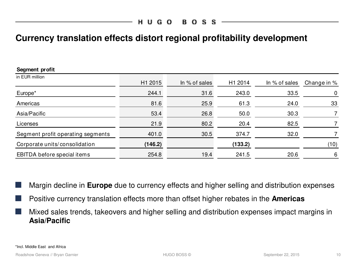### **Currency translation effects distort regional profitability development**

| Segment profit                    |         |               |         |               |             |
|-----------------------------------|---------|---------------|---------|---------------|-------------|
| in EUR million                    | H1 2015 | In % of sales | H1 2014 | In % of sales | Change in % |
| Europe*                           | 244.1   | 31.6          | 243.0   | 33.5          | $\mathbf 0$ |
| Americas                          | 81.6    | 25.9          | 61.3    | 24.0          | 33          |
| Asia/Pacific                      | 53.4    | 26.8          | 50.0    | 30.3          |             |
| Licenses                          | 21.9    | 80.2          | 20.4    | 82.5          |             |
| Segment profit operating segments | 401.0   | 30.5          | 374.7   | 32.0          |             |
| Corporate units/consolidation     | (146.2) |               | (133.2) |               | (10)        |
| EBITDA before special items       | 254.8   | 19.4          | 241.5   | 20.6          | 6           |

Margin decline in **Europe** due to currency effects and higher selling and distribution expenses

- Positive currency translation effects more than offset higher rebates in the **Americas**
- Mixed sales trends, takeovers and higher selling and distribution expenses impact margins in **Asia/Pacific**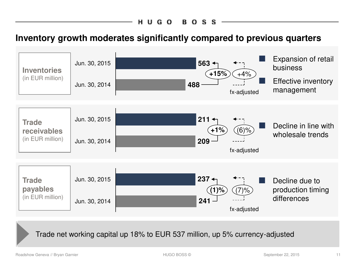# **Inventory growth moderates significantly compared to previous quarters**



Trade net working capital up 18% to EUR 537 million, up 5% currency-adjusted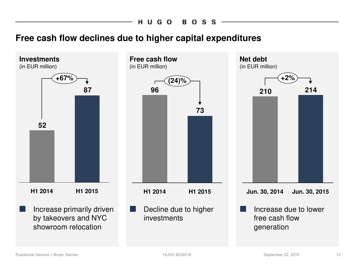#### HUGO **BOSS**

### **Free cash flow declines due to higher capital expenditures**

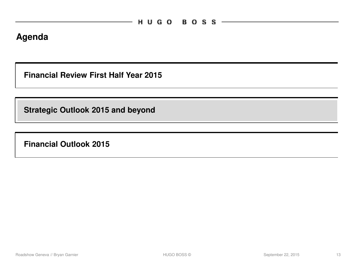### **Agenda**

**Financial Review First Half Year 2015**

**Strategic Outlook 2015 and beyond**

**Financial Outlook 2015**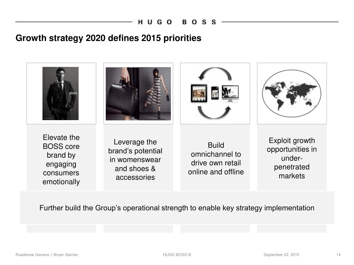### **Growth strategy 2020 defines 2015 priorities**



Further build the Group's operational strength to enable key strategy implementation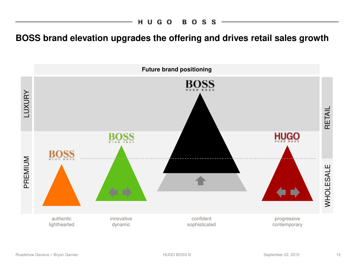**BOSS brand elevation upgrades the offering and drives retail sales growth**

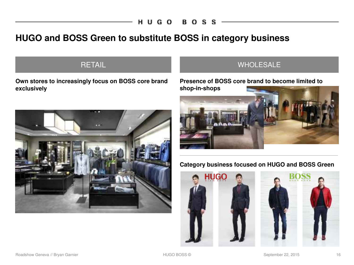## **HUGO and BOSS Green to substitute BOSS in category business**

### **RETAIL**

**Own stores to increasingly focus on BOSS core brand exclusively**



### WHOLESALE

**Presence of BOSS core brand to become limited to shop-in-shops**



### **Category business focused on HUGO and BOSS Green**

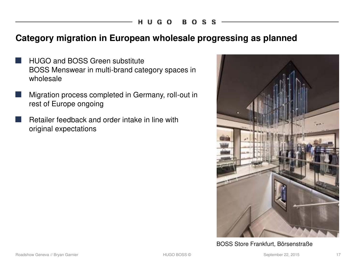### **Category migration in European wholesale progressing as planned**

- **HUGO and BOSS Green substitute** BOSS Menswear in multi-brand category spaces in wholesale
- Migration process completed in Germany, roll-out in rest of Europe ongoing
- Retailer feedback and order intake in line with original expectations



BOSS Store Frankfurt, Börsenstraße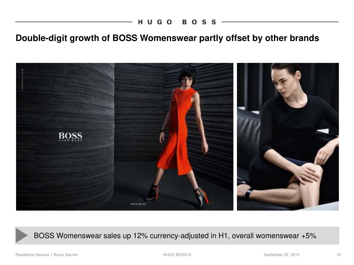# **Double-digit growth of BOSS Womenswear partly offset by other brands**



BOSS Womenswear sales up 12% currency-adjusted in H1, overall womenswear +5%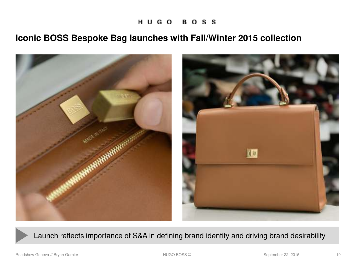**BOSS** HUGO

### **Iconic BOSS Bespoke Bag launches with Fall/Winter 2015 collection**



Launch reflects importance of S&A in defining brand identity and driving brand desirability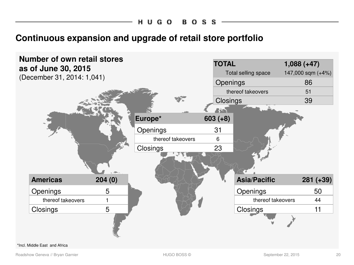### **Continuous expansion and upgrade of retail store portfolio**



#### \*Incl. Middle East and Africa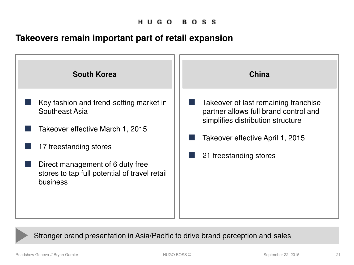### **Takeovers remain important part of retail expansion**



Stronger brand presentation in Asia/Pacific to drive brand perception and sales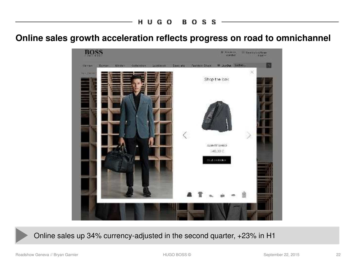**Online sales growth acceleration reflects progress on road to omnichannel**



Online sales up 34% currency-adjusted in the second quarter, +23% in H1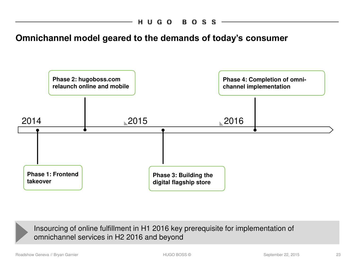**Omnichannel model geared to the demands of today's consumer**



Insourcing of online fulfillment in H1 2016 key prerequisite for implementation of omnichannel services in H2 2016 and beyond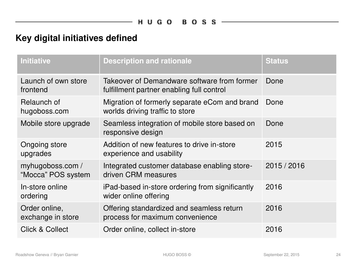# **Key digital initiatives defined**

| <b>Initiative</b>                      | <b>Description and rationale</b>                                                         | <b>Status</b> |
|----------------------------------------|------------------------------------------------------------------------------------------|---------------|
| Launch of own store<br>frontend        | Takeover of Demandware software from former<br>fulfillment partner enabling full control | Done          |
| Relaunch of<br>hugoboss.com            | Migration of formerly separate eCom and brand<br>worlds driving traffic to store         | Done          |
| Mobile store upgrade                   | Seamless integration of mobile store based on<br>responsive design                       | Done          |
| Ongoing store<br>upgrades              | Addition of new features to drive in-store<br>experience and usability                   | 2015          |
| myhugoboss.com /<br>"Mocca" POS system | Integrated customer database enabling store-<br>driven CRM measures                      | 2015 / 2016   |
| In-store online<br>ordering            | iPad-based in-store ordering from significantly<br>wider online offering                 | 2016          |
| Order online,<br>exchange in store     | Offering standardized and seamless return<br>process for maximum convenience             | 2016          |
| <b>Click &amp; Collect</b>             | Order online, collect in-store                                                           | 2016          |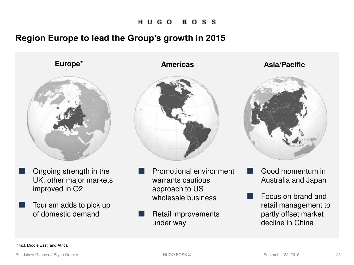### **Region Europe to lead the Group's growth in 2015**



- Ongoing strength in the UK, other major markets improved in Q2
- Tourism adds to pick up of domestic demand



- Promotional environment warrants cautious approach to US wholesale business
- Retail improvements under way

**Europe\* Americas Asia/Pacific**



- Good momentum in Australia and Japan
- Focus on brand and retail management to partly offset market decline in China

\*Incl. Middle East and Africa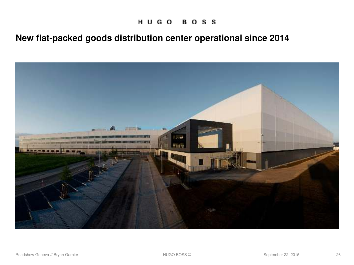# **New flat-packed goods distribution center operational since 2014**

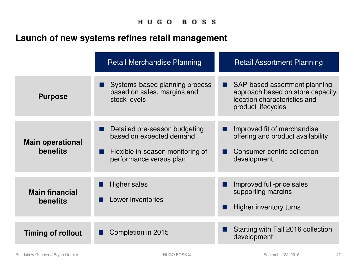# **Launch of new systems refines retail management**

|                                            | <b>Retail Merchandise Planning</b>                                                                                       | <b>Retail Assortment Planning</b>                                                                                        |
|--------------------------------------------|--------------------------------------------------------------------------------------------------------------------------|--------------------------------------------------------------------------------------------------------------------------|
| <b>Purpose</b>                             | Systems-based planning process<br>based on sales, margins and<br>stock levels                                            | SAP-based assortment planning<br>approach based on store capacity,<br>location characteristics and<br>product lifecycles |
| <b>Main operational</b><br><b>benefits</b> | Detailed pre-season budgeting<br>based on expected demand<br>Flexible in-season monitoring of<br>performance versus plan | Improved fit of merchandise<br>offering and product availability<br>Consumer-centric collection<br>development           |
| <b>Main financial</b><br><b>benefits</b>   | Higher sales<br>Lower inventories                                                                                        | Improved full-price sales<br>supporting margins<br>Higher inventory turns                                                |
| <b>Timing of rollout</b>                   | Completion in 2015                                                                                                       | Starting with Fall 2016 collection<br>development                                                                        |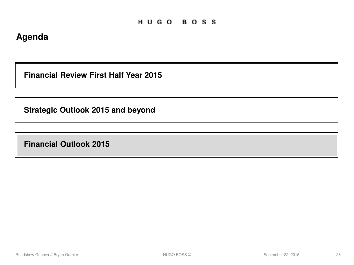### **Agenda**

**Financial Review First Half Year 2015**

**Strategic Outlook 2015 and beyond**

**Financial Outlook 2015**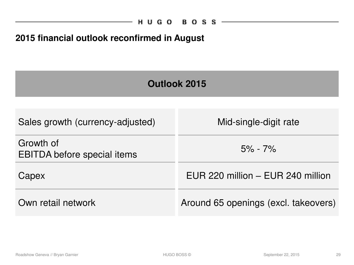# **2015 financial outlook reconfirmed in August**

| Outlook 2015                                    |                                      |  |  |
|-------------------------------------------------|--------------------------------------|--|--|
|                                                 |                                      |  |  |
| Sales growth (currency-adjusted)                | Mid-single-digit rate                |  |  |
| Growth of<br><b>EBITDA</b> before special items | $5\% - 7\%$                          |  |  |
| Capex                                           | EUR 220 million - EUR 240 million    |  |  |
| Own retail network                              | Around 65 openings (excl. takeovers) |  |  |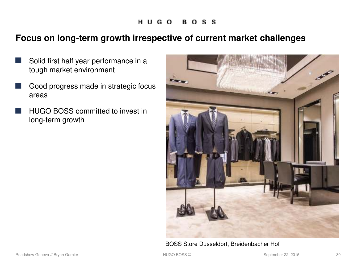### **Focus on long-term growth irrespective of current market challenges**

- Solid first half year performance in a tough market environment
- Good progress made in strategic focus areas
- **HUGO BOSS committed to invest in** long-term growth



BOSS Store Düsseldorf, Breidenbacher Hof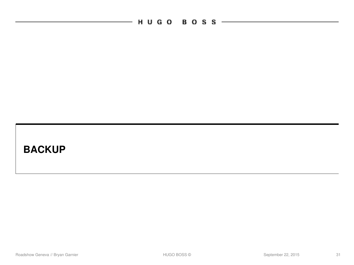$\overline{\phantom{0}}$ 

# **BACKUP**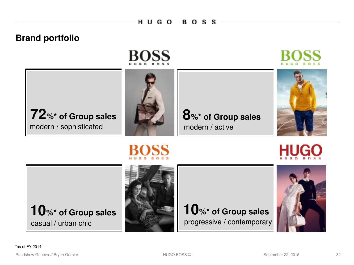#### HUGO **BOSS**

### **Brand portfolio**



**72**%\* of Group sales **8**%\* of Group sales modern / sophisticated



modern / active







# **10%\* of Group sales 10%\* of Group sales** casual / urban chic



progressive / contemporary

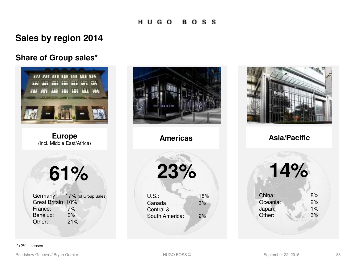### **Sales by region 2014**

### **Share of Group sales\***



**Europe** (incl. Middle East/Africa)

**61%**

Germany: 17% (of Group Sales) Great Britain: 10%<br>France: 7% France: Benelux: 6% Other: 21%







**Americas Asia/Pacific**

**14%** China: 8% Oceania: 2%<br>Japan: 1% Japan: Other: 3%

#### \*+2% Licenses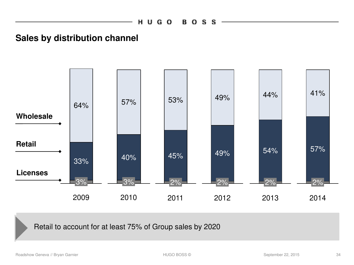### **Sales by distribution channel**



Retail to account for at least 75% of Group sales by 2020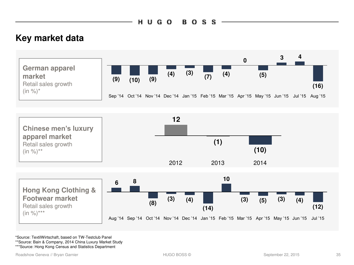## **Key market data**



\*Source: TextilWirtschaft, based on TW-Testclub Panel

\*\*Source: Bain & Company, 2014 China Luxury Market Study

\*\*\*Source: Hong Kong Census and Statistics Department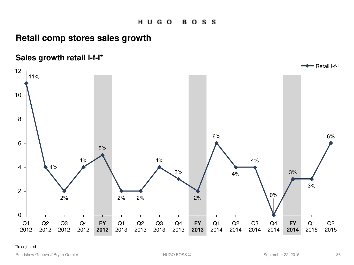### **Retail comp stores sales growth**



#### \*fx-adjusted

Roadshow Geneva // Bryan Garnier Theory of September 22, 2015 36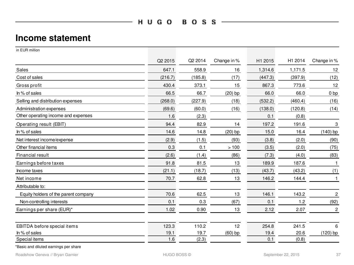$H U G O B O S S$   $\longrightarrow$ 

### **Income statement**

| in EUR million                       |         |         |             |         |         |                  |
|--------------------------------------|---------|---------|-------------|---------|---------|------------------|
|                                      | Q2 2015 | Q2 2014 | Change in % | H1 2015 | H1 2014 | Change in %      |
| Sales                                | 647.1   | 558.9   | 16          | 1,314.6 | 1,171.5 | 12               |
| Cost of sales                        | (216.7) | (185.8) | (17)        | (447.3) | (397.9) | (12)             |
| Gross profit                         | 430.4   | 373.1   | 15          | 867.3   | 773.6   | 12               |
| In % of sales                        | 66.5    | 66.7    | $(20)$ bp   | 66.0    | 66.0    | 0 bp             |
| Selling and distribution expenses    | (268.0) | (227.9) | (18)        | (532.2) | (460.4) | (16)             |
| Administration expenses              | (69.6)  | (60.0)  | (16)        | (138.0) | (120.8) | (14)             |
| Other operating income and expenses  | 1.6     | (2.3)   |             | 0.1     | (0.8)   |                  |
| Operating result (EBIT)              | 94.4    | 82.9    | 14          | 197.2   | 191.6   | 3                |
| In % of sales                        | 14.6    | 14.8    | $(20)$ bp   | 15.0    | 16.4    | $(140)$ bp       |
| Net interest income/expense          | (2.9)   | (1.5)   | (93)        | (3.8)   | (2.0)   | (90)             |
| Other financial items                | 0.3     | 0.1     | >100        | (3.5)   | (2.0)   | (75)             |
| Financial result                     | (2.6)   | (1.4)   | (86)        | (7.3)   | (4.0)   | (83)             |
| Earnings before taxes                | 91.8    | 81.5    | 13          | 189.9   | 187.6   | $\mathbf{1}$     |
| Income taxes                         | (21.1)  | (18.7)  | (13)        | (43.7)  | (43.2)  | (1)              |
| Net income                           | 70.7    | 62.8    | 13          | 146.2   | 144.4   | $\mathbf{1}$     |
| Attributable to:                     |         |         |             |         |         |                  |
| Equity holders of the parent company | 70.6    | 62.5    | 13          | 146.1   | 143.2   | $\boldsymbol{2}$ |
| Non-controlling interests            | 0.1     | 0.3     | (67)        | 0.1     | 1.2     | (92)             |
| Earnings per share (EUR)*            | 1.02    | 0.90    | 13          | 2.12    | 2.07    | $\overline{c}$   |
|                                      |         |         |             |         |         |                  |
| EBITDA before special items          | 123.3   | 110.2   | 12          | 254.8   | 241.5   | 6                |
| In % of sales                        | 19.1    | 19.7    | $(60)$ bp   | 19.4    | 20.6    | $(120)$ bp       |
| Special items                        | 1.6     | (2.3)   |             | 0.1     | (0.8)   |                  |
|                                      |         |         |             |         |         |                  |

\*Basic and diluted earnings per share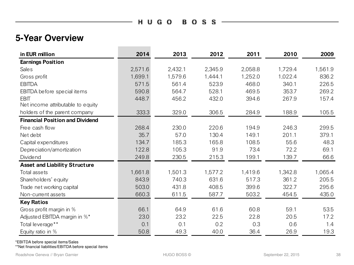$H U G O B O S S -$ 

and the control of the control of

### **5-Year Overview**

| in EUR million                         | 2014    | 2013    | 2012    | 2011    | 2010    | 2009    |
|----------------------------------------|---------|---------|---------|---------|---------|---------|
| <b>Earnings Position</b>               |         |         |         |         |         |         |
| Sale <sub>s</sub>                      | 2,571.6 | 2,432.1 | 2,345.9 | 2,058.8 | 1,729.4 | 1,561.9 |
| Gross profit                           | 1,699.1 | 1,579.6 | 1,444.1 | 1,252.0 | 1,022.4 | 836.2   |
| <b>EBITDA</b>                          | 571.5   | 561.4   | 523.9   | 468.0   | 340.1   | 226.5   |
| EBITDA before special items            | 590.8   | 564.7   | 528.1   | 469.5   | 353.7   | 269.2   |
| <b>EBIT</b>                            | 448.7   | 456.2   | 432.0   | 394.6   | 267.9   | 157.4   |
| Net income attributable to equity      |         |         |         |         |         |         |
| holders of the parent company          | 333.3   | 329.0   | 306.5   | 284.9   | 188.9   | 105.5   |
| <b>Financial Position and Dividend</b> |         |         |         |         |         |         |
| Free cash flow                         | 268.4   | 230.0   | 220.6   | 194.9   | 246.3   | 299.5   |
| Net debt                               | 35.7    | 57.0    | 130.4   | 149.1   | 201.1   | 379.1   |
| Capital expenditures                   | 134.7   | 185.3   | 165.8   | 108.5   | 55.6    | 48.3    |
| Depreciation/amortization              | 122.8   | 105.3   | 91.9    | 73.4    | 72.2    | 69.1    |
| <b>Dividend</b>                        | 249.8   | 230.5   | 215.3   | 199.1   | 139.7   | 66.6    |
| <b>Asset and Liability Structure</b>   |         |         |         |         |         |         |
| Total assets                           | 1,661.8 | 1,501.3 | 1,577.2 | 1,419.6 | 1,342.8 | 1,065.4 |
| Share holders' equity                  | 843.9   | 740.3   | 631.6   | 517.3   | 361.2   | 205.5   |
| Trade net working capital              | 503.0   | 431.8   | 408.5   | 399.6   | 322.7   | 295.6   |
| Non-current assets                     | 660.3   | 611.5   | 587.7   | 503.2   | 454.5   | 435.0   |
| <b>Key Ratios</b>                      |         |         |         |         |         |         |
| Gross profit margin in %               | 66.1    | 64.9    | 61.6    | 60.8    | 59.1    | 53.5    |
| Adjusted EBITDA margin in %*           | 23.0    | 23.2    | 22.5    | 22.8    | 20.5    | 17.2    |
| Total leverage**                       | 0.1     | 0.1     | 0.2     | 0.3     | 0.6     | 1.4     |
| Equity ratio in %                      | 50.8    | 49.3    | 40.0    | 36.4    | 26.9    | 19.3    |

\*EBITDA before special items/Sales

\*\*Net financial liabilities/EBITDA before special items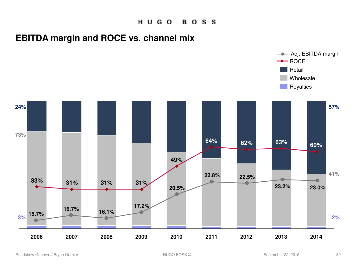

### **EBITDA margin and ROCE vs. channel mix**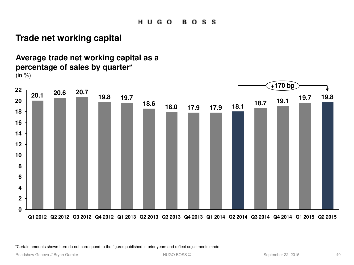### **Trade net working capital**

**Average trade net working capital as a percentage of sales by quarter\***  $(in %)$ 



\*Certain amounts shown here do not correspond to the figures published in prior years and reflect adjustments made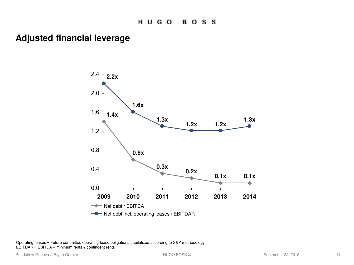### **Adjusted financial leverage**



Operating leases = Future committed operating lease obligations capitalized according to S&P methodology EBITDAR = EBITDA + minimum rents + contingent rents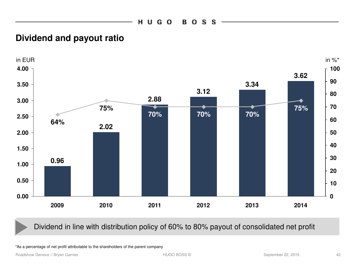### **Dividend and payout ratio**



### Dividend in line with distribution policy of 60% to 80% payout of consolidated net profit

\*As a percentage of net profit attributable to the shareholders of the parent company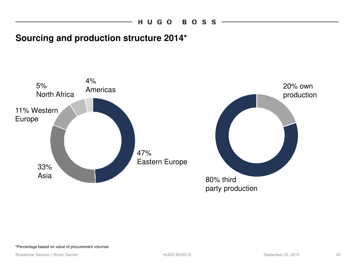## **Sourcing and production structure 2014\***

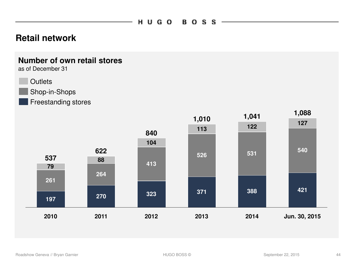### **Retail network**

### **Number of own retail stores**

as of December 31



Shop-in-Shops

Freestanding stores

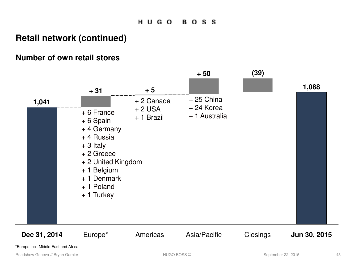### **Retail network (continued)**

### **Number of own retail stores**

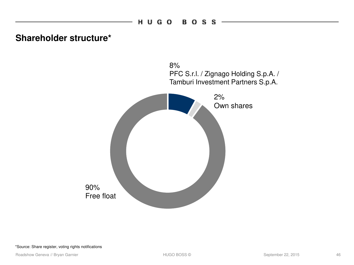**Shareholder structure\***



#### \*Source: Share register, voting rights notifications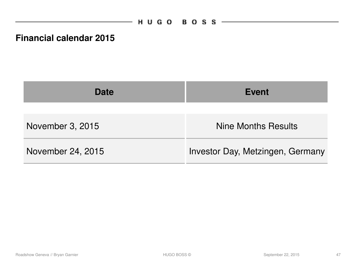## **Financial calendar 2015**

| <b>Date</b>       | <b>Event</b>                     |  |  |
|-------------------|----------------------------------|--|--|
| November 3, 2015  | <b>Nine Months Results</b>       |  |  |
| November 24, 2015 | Investor Day, Metzingen, Germany |  |  |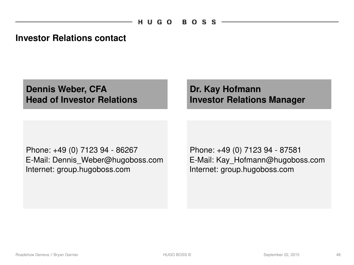### **Investor Relations contact**

**Dennis Weber, CFA Head of Investor Relations**

## **Dr. Kay Hofmann Investor Relations Manager**

Phone: +49 (0) 7123 94 - 86267 E-Mail: Dennis\_Weber@hugoboss.com Internet: group.hugoboss.com

Phone: +49 (0) 7123 94 - 87581 E-Mail: Kay\_Hofmann@hugoboss.com Internet: group.hugoboss.com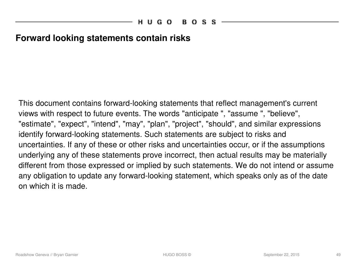### **Forward looking statements contain risks**

This document contains forward-looking statements that reflect management's current views with respect to future events. The words "anticipate ", "assume ", "believe", "estimate", "expect", "intend", "may", "plan", "project", "should", and similar expressions identify forward-looking statements. Such statements are subject to risks and uncertainties. If any of these or other risks and uncertainties occur, or if the assumptions underlying any of these statements prove incorrect, then actual results may be materially different from those expressed or implied by such statements. We do not intend or assume any obligation to update any forward-looking statement, which speaks only as of the date on which it is made.